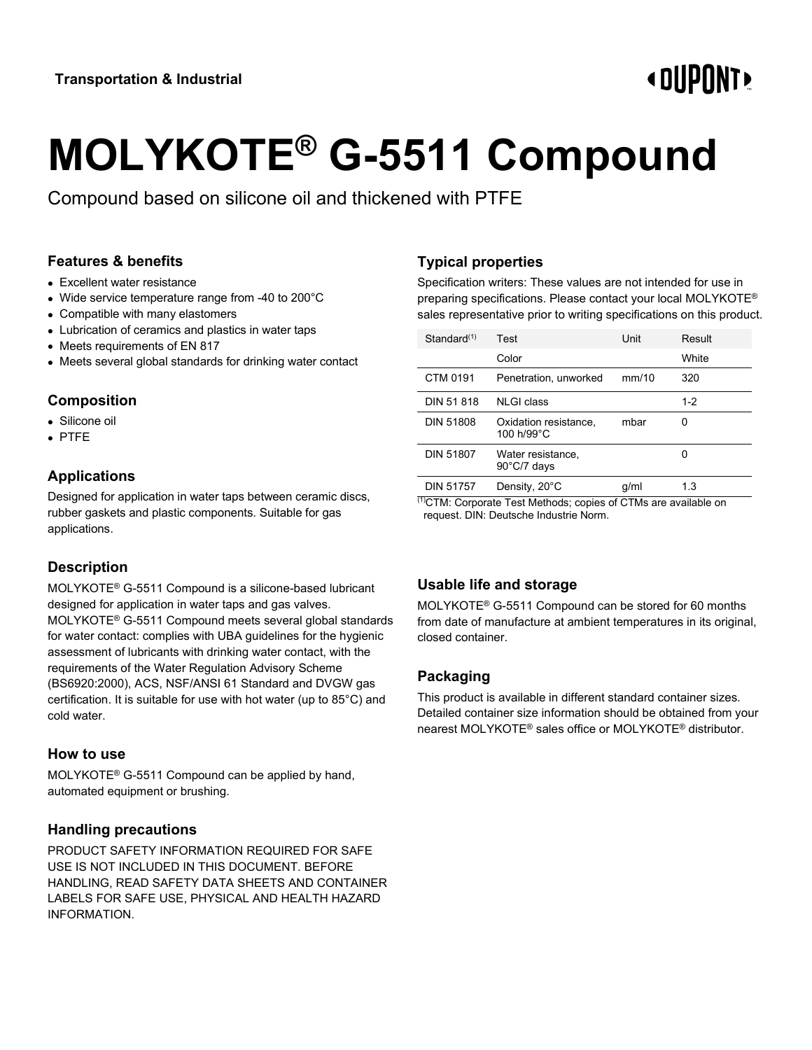# **«OUPONT»**

# **MOLYKOTE® G-5511 Compound**

Compound based on silicone oil and thickened with PTFE

#### **Features & benefits**

- Excellent water resistance
- Wide service temperature range from -40 to 200°C
- Compatible with many elastomers
- Lubrication of ceramics and plastics in water taps
- Meets requirements of EN 817
- Meets several global standards for drinking water contact

#### **Composition**

- Silicone oil
- PTFE

#### **Applications**

Designed for application in water taps between ceramic discs, rubber gaskets and plastic components. Suitable for gas applications.

# **Description**

MOLYKOTE® G-5511 Compound is a silicone-based lubricant designed for application in water taps and gas valves. MOLYKOTE® G-5511 Compound meets several global standards for water contact: complies with UBA guidelines for the hygienic assessment of lubricants with drinking water contact, with the requirements of the Water Regulation Advisory Scheme (BS6920:2000), ACS, NSF/ANSI 61 Standard and DVGW gas certification. It is suitable for use with hot water (up to 85°C) and cold water.

#### **How to use**

MOLYKOTE® G-5511 Compound can be applied by hand, automated equipment or brushing.

#### **Handling precautions**

PRODUCT SAFETY INFORMATION REQUIRED FOR SAFE USE IS NOT INCLUDED IN THIS DOCUMENT. BEFORE HANDLING, READ SAFETY DATA SHEETS AND CONTAINER LABELS FOR SAFE USE, PHYSICAL AND HEALTH HAZARD INFORMATION.

# **Typical properties**

Specification writers: These values are not intended for use in preparing specifications. Please contact your local MOLYKOTE® sales representative prior to writing specifications on this product.

| Standard(1)      | Test                                       | Unit  | Result  |
|------------------|--------------------------------------------|-------|---------|
|                  | Color                                      |       | White   |
| CTM 0191         | Penetration, unworked                      | mm/10 | 320     |
| DIN 51 818       | <b>NLGI</b> class                          |       | $1 - 2$ |
| <b>DIN 51808</b> | Oxidation resistance,<br>100 h/99°C        | mbar  | Ω       |
| <b>DIN 51807</b> | Water resistance,<br>$90^{\circ}$ C/7 days |       |         |
| <b>DIN 51757</b> | Density, 20°C<br>$\frac{1}{2}$             | q/ml  | 1.3     |

(1)CTM: Corporate Test Methods; copies of CTMs are available on request. DIN: Deutsche Industrie Norm.

#### **Usable life and storage**

MOLYKOTE® G-5511 Compound can be stored for 60 months from date of manufacture at ambient temperatures in its original, closed container.

# **Packaging**

This product is available in different standard container sizes. Detailed container size information should be obtained from your nearest MOLYKOTE® sales office or MOLYKOTE® distributor.